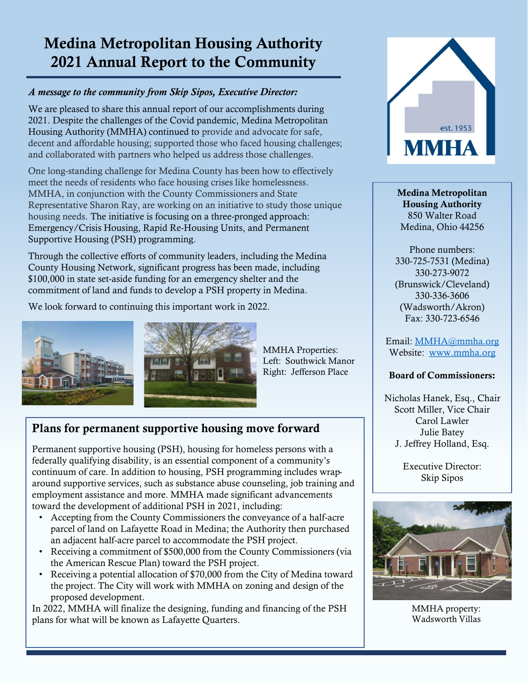# Medina Metropolitan Housing Authority 2021 Annual Report to the Community

#### *A message to the community from Skip Sipos, Executive Director:*

We are pleased to share this annual report of our accomplishments during 2021. Despite the challenges of the Covid pandemic, Medina Metropolitan Housing Authority (MMHA) continued to provide and advocate for safe, decent and affordable housing; supported those who faced housing challenges; and collaborated with partners who helped us address those challenges.

One long-standing challenge for Medina County has been how to effectively meet the needs of residents who face housing crises like homelessness. MMHA, in conjunction with the County Commissioners and State Representative Sharon Ray, are working on an initiative to study those unique housing needs. The initiative is focusing on a three-pronged approach: Emergency/Crisis Housing, Rapid Re-Housing Units, and Permanent Supportive Housing (PSH) programming.

Through the collective efforts of community leaders, including the Medina County Housing Network, significant progress has been made, including \$100,000 in state set-aside funding for an emergency shelter and the commitment of land and funds to develop a PSH property in Medina.

We look forward to continuing this important work in 2022.



MMHA Properties: Left: Southwick Manor Right: Jefferson Place

# Plans for permanent supportive housing move forward

Permanent supportive housing (PSH), housing for homeless persons with a federally qualifying disability, is an essential component of a community's continuum of care. In addition to housing, PSH programming includes wraparound supportive services, such as substance abuse counseling, job training and employment assistance and more. MMHA made significant advancements toward the development of additional PSH in 2021, including:

- Accepting from the County Commissioners the conveyance of a half-acre parcel of land on Lafayette Road in Medina; the Authority then purchased an adjacent half-acre parcel to accommodate the PSH project.
- Receiving a commitment of \$500,000 from the County Commissioners (via the American Rescue Plan) toward the PSH project.
- Receiving a potential allocation of \$70,000 from the City of Medina toward the project. The City will work with MMHA on zoning and design of the proposed development.

In 2022, MMHA will finalize the designing, funding and financing of the PSH plans for what will be known as Lafayette Quarters.



Medina Metropolitan Housing Authority 850 Walter Road Medina, Ohio 44256

Phone numbers: 330-725-7531 (Medina) 330-273-9072 (Brunswick/Cleveland) 330-336-3606 (Wadsworth/Akron) Fax: 330-723-6546

Email: [MMHA@mmha.org](mailto:MMHA@mmha.org) Website: [www.mmha.org](http://www.mmha.org/)

#### Board of Commissioners:

Nicholas Hanek, Esq., Chair Scott Miller, Vice Chair Carol Lawler Julie Batey J. Jeffrey Holland, Esq.

> Executive Director: Skip Sipos



MMHA property: Wadsworth Villas